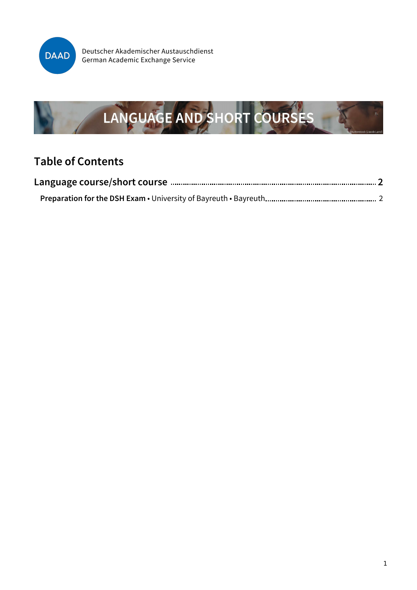

Deutscher Akademischer Austauschdienst German Academic Exchange Service



### **Table of Contents**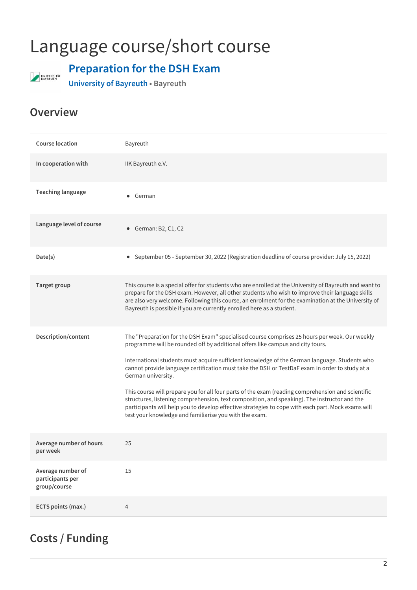# <span id="page-1-0"></span>Language course/short course



### <span id="page-1-1"></span>**Preparation for the DSH Exam**

**University of Bayreuth • Bayreuth**

#### **Overview**

| <b>Course location</b>                                | Bayreuth                                                                                                                                                                                                                                                                                                                                                                                                                                                                                                                                                                                                                                                                                                                                                                      |
|-------------------------------------------------------|-------------------------------------------------------------------------------------------------------------------------------------------------------------------------------------------------------------------------------------------------------------------------------------------------------------------------------------------------------------------------------------------------------------------------------------------------------------------------------------------------------------------------------------------------------------------------------------------------------------------------------------------------------------------------------------------------------------------------------------------------------------------------------|
| In cooperation with                                   | IIK Bayreuth e.V.                                                                                                                                                                                                                                                                                                                                                                                                                                                                                                                                                                                                                                                                                                                                                             |
| <b>Teaching language</b>                              | German<br>$\bullet$                                                                                                                                                                                                                                                                                                                                                                                                                                                                                                                                                                                                                                                                                                                                                           |
| Language level of course                              | German: B2, C1, C2<br>٠                                                                                                                                                                                                                                                                                                                                                                                                                                                                                                                                                                                                                                                                                                                                                       |
| Date(s)                                               | September 05 - September 30, 2022 (Registration deadline of course provider: July 15, 2022)<br>$\bullet$                                                                                                                                                                                                                                                                                                                                                                                                                                                                                                                                                                                                                                                                      |
| <b>Target group</b>                                   | This course is a special offer for students who are enrolled at the University of Bayreuth and want to<br>prepare for the DSH exam. However, all other students who wish to improve their language skills<br>are also very welcome. Following this course, an enrolment for the examination at the University of<br>Bayreuth is possible if you are currently enrolled here as a student.                                                                                                                                                                                                                                                                                                                                                                                     |
| Description/content                                   | The "Preparation for the DSH Exam" specialised course comprises 25 hours per week. Our weekly<br>programme will be rounded off by additional offers like campus and city tours.<br>International students must acquire sufficient knowledge of the German language. Students who<br>cannot provide language certification must take the DSH or TestDaF exam in order to study at a<br>German university.<br>This course will prepare you for all four parts of the exam (reading comprehension and scientific<br>structures, listening comprehension, text composition, and speaking). The instructor and the<br>participants will help you to develop effective strategies to cope with each part. Mock exams will<br>test your knowledge and familiarise you with the exam. |
| Average number of hours<br>per week                   | 25                                                                                                                                                                                                                                                                                                                                                                                                                                                                                                                                                                                                                                                                                                                                                                            |
| Average number of<br>participants per<br>group/course | 15                                                                                                                                                                                                                                                                                                                                                                                                                                                                                                                                                                                                                                                                                                                                                                            |
| ECTS points (max.)                                    | 4                                                                                                                                                                                                                                                                                                                                                                                                                                                                                                                                                                                                                                                                                                                                                                             |

### **Costs / Funding**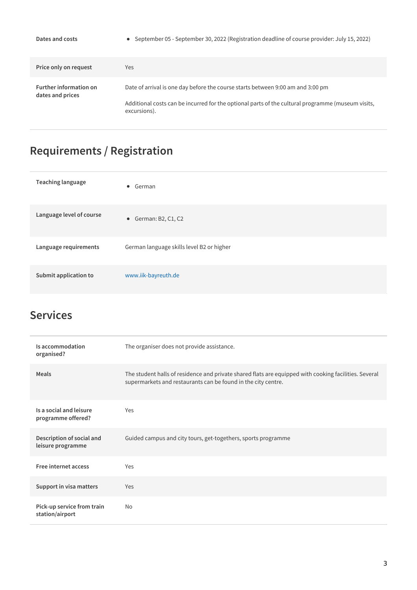| Dates and costs                                   | • September 05 - September 30, 2022 (Registration deadline of course provider: July 15, 2022)                                                                                                        |
|---------------------------------------------------|------------------------------------------------------------------------------------------------------------------------------------------------------------------------------------------------------|
| Price only on request                             | <b>Yes</b>                                                                                                                                                                                           |
| <b>Further information on</b><br>dates and prices | Date of arrival is one day before the course starts between 9:00 am and 3:00 pm<br>Additional costs can be incurred for the optional parts of the cultural programme (museum visits,<br>excursions). |

## **Requirements / Registration**

| <b>Teaching language</b> | • German                                  |
|--------------------------|-------------------------------------------|
| Language level of course | • German: B2, C1, C2                      |
| Language requirements    | German language skills level B2 or higher |
| Submit application to    | www.iik-bayreuth.de                       |

### **Services**

| Is accommodation<br>organised?                 | The organiser does not provide assistance.                                                                                                                             |
|------------------------------------------------|------------------------------------------------------------------------------------------------------------------------------------------------------------------------|
| Meals                                          | The student halls of residence and private shared flats are equipped with cooking facilities. Several<br>supermarkets and restaurants can be found in the city centre. |
| Is a social and leisure<br>programme offered?  | Yes                                                                                                                                                                    |
| Description of social and<br>leisure programme | Guided campus and city tours, get-togethers, sports programme                                                                                                          |
| Free internet access                           | Yes                                                                                                                                                                    |
| Support in visa matters                        | Yes                                                                                                                                                                    |
| Pick-up service from train<br>station/airport  | <b>No</b>                                                                                                                                                              |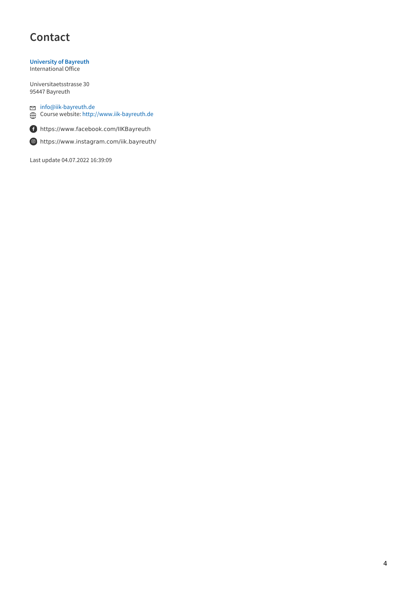### **Contact**

**[University](https://www.uni-bayreuth.de) of Bayreuth** International Office

Universitaetsstrasse 30 95447 Bayreuth

[info@iik-bayreuth.de](mailto:info@iik-bayreuth.de) Course website: <http://www.iik-bayreuth.de>



<https://www.facebook.com/IIKBayreuth>



Last update 04.07.2022 16:39:09